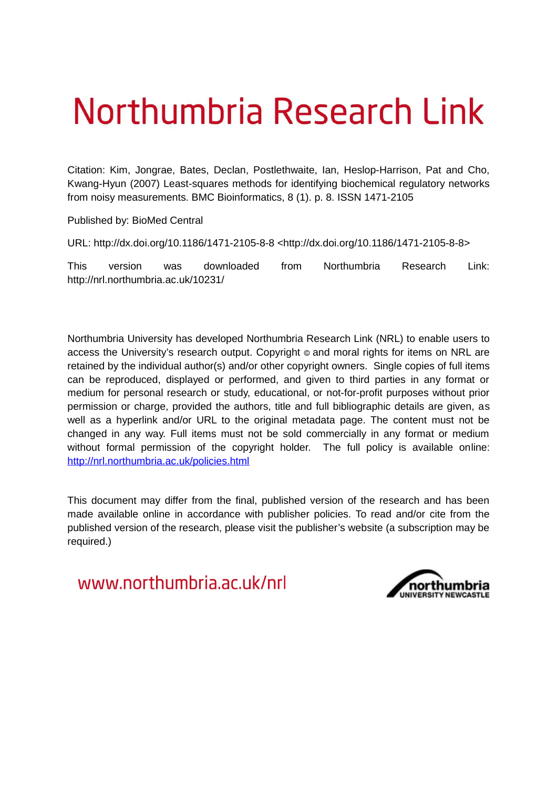# Northumbria Research Link

Citation: Kim, Jongrae, Bates, Declan, Postlethwaite, Ian, Heslop-Harrison, Pat and Cho, Kwang-Hyun (2007) Least-squares methods for identifying biochemical regulatory networks from noisy measurements. BMC Bioinformatics, 8 (1). p. 8. ISSN 1471-2105

Published by: BioMed Central

URL: http://dx.doi.org/10.1186/1471-2105-8-8 <http://dx.doi.org/10.1186/1471-2105-8-8>

This version was downloaded from Northumbria Research Link: http://nrl.northumbria.ac.uk/10231/

Northumbria University has developed Northumbria Research Link (NRL) to enable users to access the University's research output. Copyright  $\circ$  and moral rights for items on NRL are retained by the individual author(s) and/or other copyright owners. Single copies of full items can be reproduced, displayed or performed, and given to third parties in any format or medium for personal research or study, educational, or not-for-profit purposes without prior permission or charge, provided the authors, title and full bibliographic details are given, as well as a hyperlink and/or URL to the original metadata page. The content must not be changed in any way. Full items must not be sold commercially in any format or medium without formal permission of the copyright holder. The full policy is available online: <http://nrl.northumbria.ac.uk/policies.html>

This document may differ from the final, published version of the research and has been made available online in accordance with publisher policies. To read and/or cite from the published version of the research, please visit the publisher's website (a subscription may be required.)

www.northumbria.ac.uk/nrl

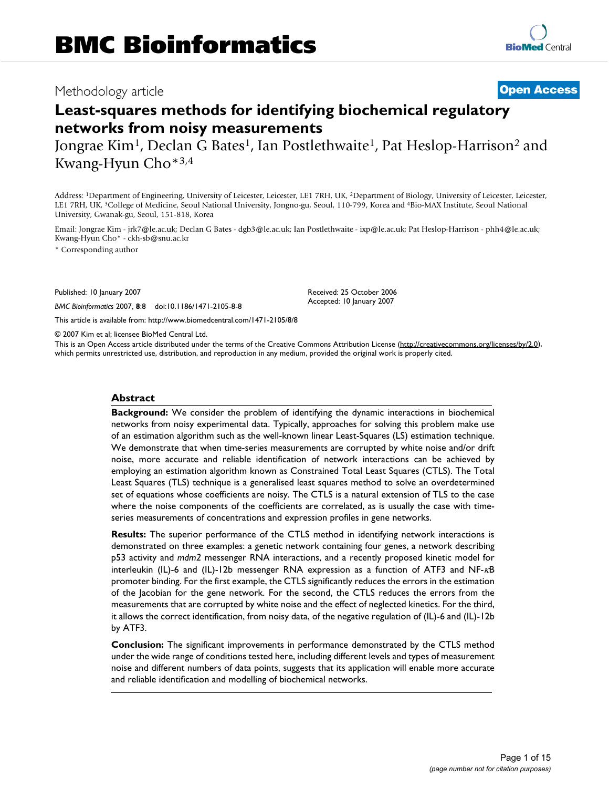## Methodology article **Contract Contract Contract Contract Contract Contract Contract Contract Contract Contract Contract Contract Contract Contract Contract Contract Contract Contract Contract Contract Contract Contract Con**

# **Least-squares methods for identifying biochemical regulatory networks from noisy measurements**

Jongrae Kim<sup>1</sup>, Declan G Bates<sup>1</sup>, Ian Postlethwaite<sup>1</sup>, Pat Heslop-Harrison<sup>2</sup> and Kwang-Hyun Cho\*3,4

Address: <sup>1</sup>Department of Engineering, University of Leicester, Leicester, LE1 7RH, UK, <sup>2</sup>Department of Biology, University of Leicester, Leicester, LE1 7RH, UK, <sup>3</sup>College of Medicine, Seoul National University, Jongno-gu, Seoul, 110-799, Korea and <sup>4</sup>Bio-MAX Institute, Seoul National University, Gwanak-gu, Seoul, 151-818, Korea

Email: Jongrae Kim - jrk7@le.ac.uk; Declan G Bates - dgb3@le.ac.uk; Ian Postlethwaite - ixp@le.ac.uk; Pat Heslop-Harrison - phh4@le.ac.uk; Kwang-Hyun Cho\* - ckh-sb@snu.ac.kr

\* Corresponding author

Published: 10 January 2007

*BMC Bioinformatics* 2007, **8**:8 doi:10.1186/1471-2105-8-8

[This article is available from: http://www.biomedcentral.com/1471-2105/8/8](http://www.biomedcentral.com/1471-2105/8/8)

© 2007 Kim et al; licensee BioMed Central Ltd.

This is an Open Access article distributed under the terms of the Creative Commons Attribution License [\(http://creativecommons.org/licenses/by/2.0\)](http://creativecommons.org/licenses/by/2.0), which permits unrestricted use, distribution, and reproduction in any medium, provided the original work is properly cited.

Received: 25 October 2006 Accepted: 10 January 2007

#### **Abstract**

**Background:** We consider the problem of identifying the dynamic interactions in biochemical networks from noisy experimental data. Typically, approaches for solving this problem make use of an estimation algorithm such as the well-known linear Least-Squares (LS) estimation technique. We demonstrate that when time-series measurements are corrupted by white noise and/or drift noise, more accurate and reliable identification of network interactions can be achieved by employing an estimation algorithm known as Constrained Total Least Squares (CTLS). The Total Least Squares (TLS) technique is a generalised least squares method to solve an overdetermined set of equations whose coefficients are noisy. The CTLS is a natural extension of TLS to the case where the noise components of the coefficients are correlated, as is usually the case with timeseries measurements of concentrations and expression profiles in gene networks.

**Results:** The superior performance of the CTLS method in identifying network interactions is demonstrated on three examples: a genetic network containing four genes, a network describing p53 activity and *mdm2* messenger RNA interactions, and a recently proposed kinetic model for interleukin (IL)-6 and (IL)-12b messenger RNA expression as a function of ATF3 and NF-κB promoter binding. For the first example, the CTLS significantly reduces the errors in the estimation of the Jacobian for the gene network. For the second, the CTLS reduces the errors from the measurements that are corrupted by white noise and the effect of neglected kinetics. For the third, it allows the correct identification, from noisy data, of the negative regulation of (IL)-6 and (IL)-12b by ATF3.

**Conclusion:** The significant improvements in performance demonstrated by the CTLS method under the wide range of conditions tested here, including different levels and types of measurement noise and different numbers of data points, suggests that its application will enable more accurate and reliable identification and modelling of biochemical networks.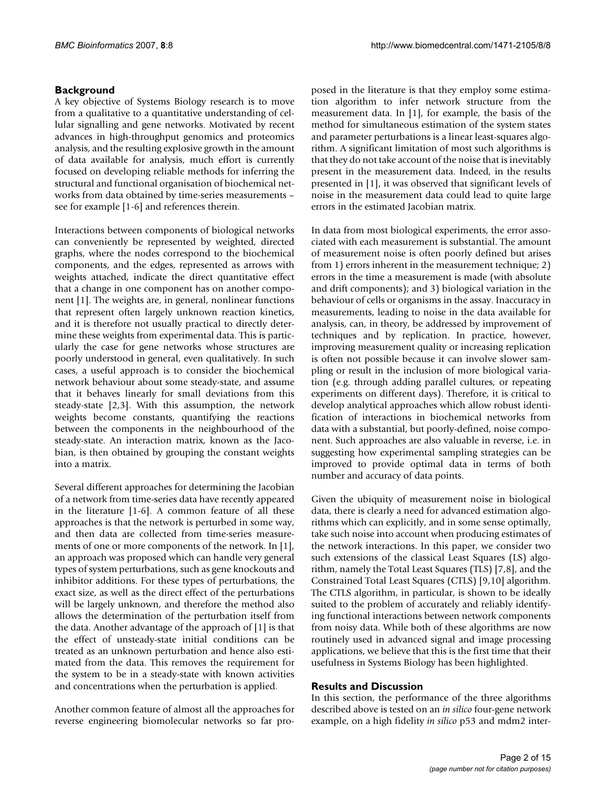### **Background**

A key objective of Systems Biology research is to move from a qualitative to a quantitative understanding of cellular signalling and gene networks. Motivated by recent advances in high-throughput genomics and proteomics analysis, and the resulting explosive growth in the amount of data available for analysis, much effort is currently focused on developing reliable methods for inferring the structural and functional organisation of biochemical networks from data obtained by time-series measurements – see for example [1-6] and references therein.

Interactions between components of biological networks can conveniently be represented by weighted, directed graphs, where the nodes correspond to the biochemical components, and the edges, represented as arrows with weights attached, indicate the direct quantitative effect that a change in one component has on another component [1]. The weights are, in general, nonlinear functions that represent often largely unknown reaction kinetics, and it is therefore not usually practical to directly determine these weights from experimental data. This is particularly the case for gene networks whose structures are poorly understood in general, even qualitatively. In such cases, a useful approach is to consider the biochemical network behaviour about some steady-state, and assume that it behaves linearly for small deviations from this steady-state [2,3]. With this assumption, the network weights become constants, quantifying the reactions between the components in the neighbourhood of the steady-state. An interaction matrix, known as the Jacobian, is then obtained by grouping the constant weights into a matrix.

Several different approaches for determining the Jacobian of a network from time-series data have recently appeared in the literature [1-6]. A common feature of all these approaches is that the network is perturbed in some way, and then data are collected from time-series measurements of one or more components of the network. In [1], an approach was proposed which can handle very general types of system perturbations, such as gene knockouts and inhibitor additions. For these types of perturbations, the exact size, as well as the direct effect of the perturbations will be largely unknown, and therefore the method also allows the determination of the perturbation itself from the data. Another advantage of the approach of [1] is that the effect of unsteady-state initial conditions can be treated as an unknown perturbation and hence also estimated from the data. This removes the requirement for the system to be in a steady-state with known activities and concentrations when the perturbation is applied.

Another common feature of almost all the approaches for reverse engineering biomolecular networks so far proposed in the literature is that they employ some estimation algorithm to infer network structure from the measurement data. In [1], for example, the basis of the method for simultaneous estimation of the system states and parameter perturbations is a linear least-squares algorithm. A significant limitation of most such algorithms is that they do not take account of the noise that is inevitably present in the measurement data. Indeed, in the results presented in [1], it was observed that significant levels of noise in the measurement data could lead to quite large errors in the estimated Jacobian matrix.

In data from most biological experiments, the error associated with each measurement is substantial. The amount of measurement noise is often poorly defined but arises from 1) errors inherent in the measurement technique; 2) errors in the time a measurement is made (with absolute and drift components); and 3) biological variation in the behaviour of cells or organisms in the assay. Inaccuracy in measurements, leading to noise in the data available for analysis, can, in theory, be addressed by improvement of techniques and by replication. In practice, however, improving measurement quality or increasing replication is often not possible because it can involve slower sampling or result in the inclusion of more biological variation (e.g. through adding parallel cultures, or repeating experiments on different days). Therefore, it is critical to develop analytical approaches which allow robust identification of interactions in biochemical networks from data with a substantial, but poorly-defined, noise component. Such approaches are also valuable in reverse, i.e. in suggesting how experimental sampling strategies can be improved to provide optimal data in terms of both number and accuracy of data points.

Given the ubiquity of measurement noise in biological data, there is clearly a need for advanced estimation algorithms which can explicitly, and in some sense optimally, take such noise into account when producing estimates of the network interactions. In this paper, we consider two such extensions of the classical Least Squares (LS) algorithm, namely the Total Least Squares (TLS) [7,8], and the Constrained Total Least Squares (CTLS) [9,10] algorithm. The CTLS algorithm, in particular, is shown to be ideally suited to the problem of accurately and reliably identifying functional interactions between network components from noisy data. While both of these algorithms are now routinely used in advanced signal and image processing applications, we believe that this is the first time that their usefulness in Systems Biology has been highlighted.

#### **Results and Discussion**

In this section, the performance of the three algorithms described above is tested on an *in silico* four-gene network example, on a high fidelity *in silico* p53 and mdm2 inter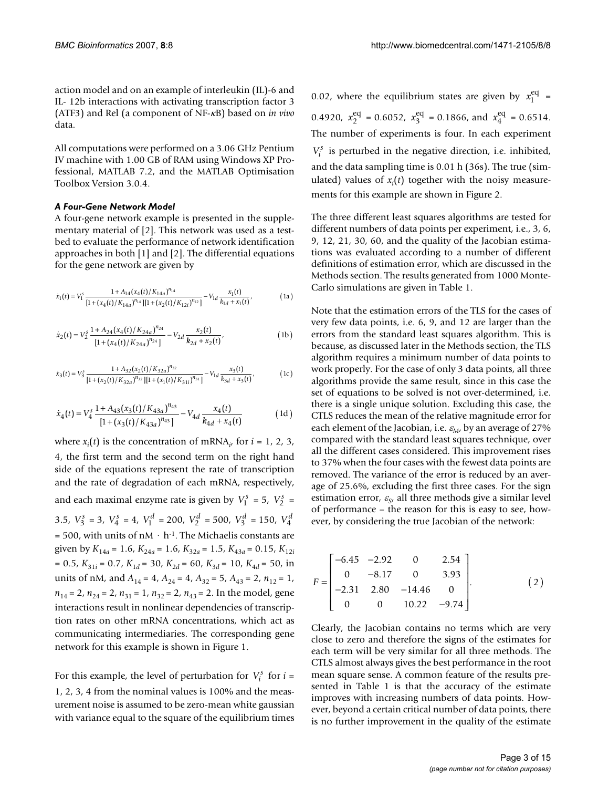action model and on an example of interleukin (IL)-6 and IL- 12b interactions with activating transcription factor 3 (ATF3) and Rel (a component of NF-κB) based on *in vivo* data.

All computations were performed on a 3.06 GHz Pentium IV machine with 1.00 GB of RAM using Windows XP Professional, MATLAB 7.2, and the MATLAB Optimisation Toolbox Version 3.0.4.

#### *A Four-Gene Network Model*

A four-gene network example is presented in the supplementary material of [2]. This network was used as a testbed to evaluate the performance of network identification approaches in both [1] and [2]. The differential equations for the gene network are given by

$$
\dot{x}_1(t) = V_1^s \frac{1 + A_{14}(x_4(t)/K_{14a})^{n_{14}}}{[1 + (x_4(t)/K_{14a})^{n_{14}}][1 + (x_2(t)/K_{12i})^{n_{12}}]} - V_{1d} \frac{x_1(t)}{k_{1d} + x_1(t)},
$$
\n(1a)

$$
\dot{x}_2(t) = V_2^3 \frac{1 + A_{24}(x_4(t)/K_{24a})^{n_{24}}}{[1 + (x_4(t)/K_{24a})^{n_{24}}]} - V_{2d} \frac{x_2(t)}{k_{2d} + x_2(t)},
$$
\n(1b)

$$
\dot{x}_3(t) = V_3^s \frac{1 + A_{32}(x_2(t)/K_{32a})^{n_{32}}}{[1 + (x_2(t)/K_{32a})^{n_{32}}][1 + (x_1(t)/K_{31i})^{n_{31}}]} - V_{1d} \frac{x_3(t)}{k_{3d} + x_3(t)},
$$
(1c)

$$
\dot{x}_4(t) = V_4^s \frac{1 + A_{43}(x_3(t)/K_{43a})^{n_{43}}}{[1 + (x_3(t)/K_{43a})^{n_{43}}]} - V_{4d} \frac{x_4(t)}{k_{4d} + x_4(t)}
$$
(1d)

where  $x_i(t)$  is the concentration of mRNA<sub>*i*</sub>, for *i* = 1, 2, 3, 4, the first term and the second term on the right hand side of the equations represent the rate of transcription and the rate of degradation of each mRNA, respectively, and each maximal enzyme rate is given by  $V_1^s = 5$ ,  $V_2^s =$ 3.5,  $V_3^s = 3$ ,  $V_4^s = 4$ ,  $V_1^d = 200$ ,  $V_2^d = 500$ ,  $V_3^d = 150$ ,  $V_4^d$ = 500, with units of  $nM \cdot h^{-1}$ . The Michaelis constants are given by  $K_{14a} = 1.6$ ,  $K_{24a} = 1.6$ ,  $K_{32a} = 1.5$ ,  $K_{43a} = 0.15$ ,  $K_{12i}$  $= 0.5, K_{31i} = 0.7, K_{1d} = 30, K_{2d} = 60, K_{3d} = 10, K_{4d} = 50$ , in units of nM, and  $A_{14} = 4$ ,  $A_{24} = 4$ ,  $A_{32} = 5$ ,  $A_{43} = 2$ ,  $n_{12} = 1$ ,  $n_{14} = 2$ ,  $n_{24} = 2$ ,  $n_{31} = 1$ ,  $n_{32} = 2$ ,  $n_{43} = 2$ . In the model, gene interactions result in nonlinear dependencies of transcription rates on other mRNA concentrations, which act as communicating intermediaries. The corresponding gene network for this example is shown in Figure 1.

For this example, the level of perturbation for  $V_i^s$  for  $i =$ 1, 2, 3, 4 from the nominal values is 100% and the measurement noise is assumed to be zero-mean white gaussian with variance equal to the square of the equilibrium times

0.02, where the equilibrium states are given by  $x_1^{eq}$  = 0.4920,  $x_2^{\text{eq}} = 0.6052$ ,  $x_3^{\text{eq}} = 0.1866$ , and  $x_4^{\text{eq}} = 0.6514$ . The number of experiments is four. In each experiment  $V_i^s$  is perturbed in the negative direction, i.e. inhibited, and the data sampling time is 0.01 h (36s). The true (simulated) values of *x<sup>i</sup>* (*t*) together with the noisy measurements for this example are shown in Figure 2.

The three different least squares algorithms are tested for different numbers of data points per experiment, i.e., 3, 6, 9, 12, 21, 30, 60, and the quality of the Jacobian estimations was evaluated according to a number of different definitions of estimation error, which are discussed in the Methods section. The results generated from 1000 Monte-Carlo simulations are given in Table 1.

Note that the estimation errors of the TLS for the cases of very few data points, i.e. 6, 9, and 12 are larger than the errors from the standard least squares algorithm. This is because, as discussed later in the Methods section, the TLS algorithm requires a minimum number of data points to work properly. For the case of only 3 data points, all three algorithms provide the same result, since in this case the set of equations to be solved is not over-determined, i.e. there is a single unique solution. Excluding this case, the CTLS reduces the mean of the relative magnitude error for each element of the Jacobian, i.e.  $\varepsilon_M$ , by an average of 27% compared with the standard least squares technique, over all the different cases considered. This improvement rises to 37% when the four cases with the fewest data points are removed. The variance of the error is reduced by an average of 25.6%, excluding the first three cases. For the sign estimation error, <sup>ε</sup>*<sup>S</sup>* , all three methods give a similar level of performance – the reason for this is easy to see, however, by considering the true Jacobian of the network:

$$
F = \begin{bmatrix} -6.45 & -2.92 & 0 & 2.54 \\ 0 & -8.17 & 0 & 3.93 \\ -2.31 & 2.80 & -14.46 & 0 \\ 0 & 0 & 10.22 & -9.74 \end{bmatrix}.
$$
 (2)

Clearly, the Jacobian contains no terms which are very close to zero and therefore the signs of the estimates for each term will be very similar for all three methods. The CTLS almost always gives the best performance in the root mean square sense. A common feature of the results presented in Table 1 is that the accuracy of the estimate improves with increasing numbers of data points. However, beyond a certain critical number of data points, there is no further improvement in the quality of the estimate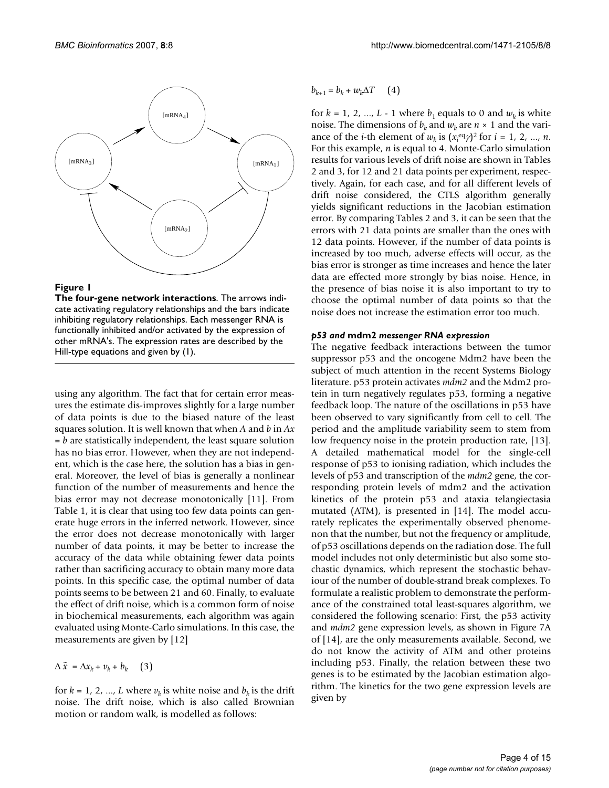

**Figure 1** 

**The four-gene network interactions**. The arrows indicate activating regulatory relationships and the bars indicate inhibiting regulatory relationships. Each messenger RNA is functionally inhibited and/or activated by the expression of other mRNA's. The expression rates are described by the Hill-type equations and given by (1).

using any algorithm. The fact that for certain error measures the estimate dis-improves slightly for a large number of data points is due to the biased nature of the least squares solution. It is well known that when *A* and *b* in *Ax* = *b* are statistically independent, the least square solution has no bias error. However, when they are not independent, which is the case here, the solution has a bias in general. Moreover, the level of bias is generally a nonlinear function of the number of measurements and hence the bias error may not decrease monotonically [11]. From Table 1, it is clear that using too few data points can generate huge errors in the inferred network. However, since the error does not decrease monotonically with larger number of data points, it may be better to increase the accuracy of the data while obtaining fewer data points rather than sacrificing accuracy to obtain many more data points. In this specific case, the optimal number of data points seems to be between 21 and 60. Finally, to evaluate the effect of drift noise, which is a common form of noise in biochemical measurements, each algorithm was again evaluated using Monte-Carlo simulations. In this case, the measurements are given by [12]

 $\Delta \tilde{x} = \Delta x_k + v_k + b_k$  (3)

for  $k = 1, 2, ..., L$  where  $v_k$  is white noise and  $b_k$  is the drift noise. The drift noise, which is also called Brownian motion or random walk, is modelled as follows:

 $b_{k+1} = b_k + w_k \Delta T$  (4)

for  $k = 1, 2, ..., L - 1$  where  $b_1$  equals to 0 and  $w_k$  is white noise. The dimensions of  $b_k$  and  $w_k$  are  $n \times 1$  and the variance of the *i*-th element of  $w_k$  is  $(x_i^{eq})^2$  for  $i = 1, 2, ..., n$ . For this example, *n* is equal to 4. Monte-Carlo simulation results for various levels of drift noise are shown in Tables 2 and 3, for 12 and 21 data points per experiment, respectively. Again, for each case, and for all different levels of drift noise considered, the CTLS algorithm generally yields significant reductions in the Jacobian estimation error. By comparing Tables 2 and 3, it can be seen that the errors with 21 data points are smaller than the ones with 12 data points. However, if the number of data points is increased by too much, adverse effects will occur, as the bias error is stronger as time increases and hence the later data are effected more strongly by bias noise. Hence, in the presence of bias noise it is also important to try to choose the optimal number of data points so that the noise does not increase the estimation error too much.

#### *p53 and* **mdm2** *messenger RNA expression*

The negative feedback interactions between the tumor suppressor p53 and the oncogene Mdm2 have been the subject of much attention in the recent Systems Biology literature. p53 protein activates *mdm2* and the Mdm2 protein in turn negatively regulates p53, forming a negative feedback loop. The nature of the oscillations in p53 have been observed to vary significantly from cell to cell. The period and the amplitude variability seem to stem from low frequency noise in the protein production rate, [13]. A detailed mathematical model for the single-cell response of p53 to ionising radiation, which includes the levels of p53 and transcription of the *mdm2* gene, the corresponding protein levels of mdm2 and the activation kinetics of the protein p53 and ataxia telangiectasia mutated (ATM), is presented in [14]. The model accurately replicates the experimentally observed phenomenon that the number, but not the frequency or amplitude, of p53 oscillations depends on the radiation dose. The full model includes not only deterministic but also some stochastic dynamics, which represent the stochastic behaviour of the number of double-strand break complexes. To formulate a realistic problem to demonstrate the performance of the constrained total least-squares algorithm, we considered the following scenario: First, the p53 activity and *mdm2* gene expression levels, as shown in Figure 7A of [14], are the only measurements available. Second, we do not know the activity of ATM and other proteins including p53. Finally, the relation between these two genes is to be estimated by the Jacobian estimation algorithm. The kinetics for the two gene expression levels are given by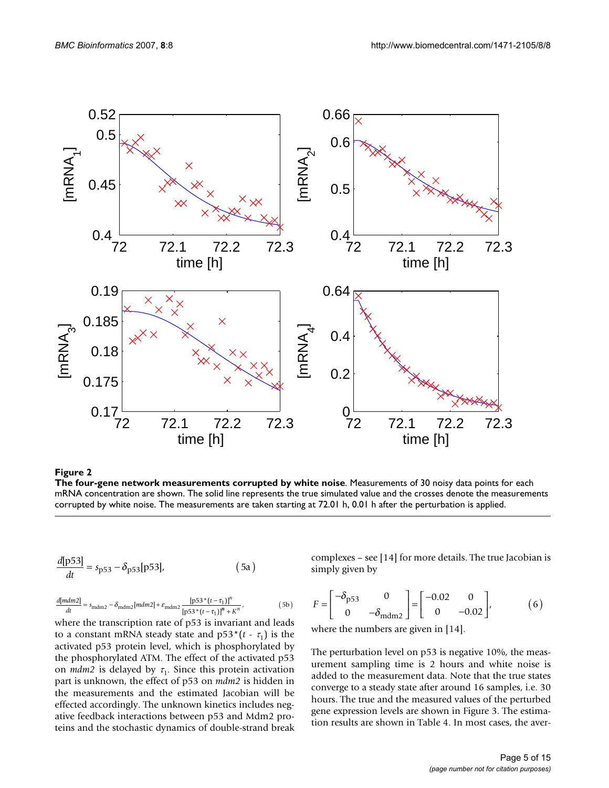

Figure 2

**The four-gene network measurements corrupted by white noise**. Measurements of 30 noisy data points for each mRNA concentration are shown. The solid line represents the true simulated value and the crosses denote the measurements corrupted by white noise. The measurements are taken starting at 72.01 h, 0.01 h after the perturbation is applied.

$$
\frac{d[p53]}{dt} = s_{p53} - \delta_{p53}[p53],
$$
 (5a)

$$
\frac{d[mdm2]}{dt} = s_{\text{mdm2}} - \delta_{\text{mdm2}}[mdm2] + \varepsilon_{\text{mdm2}} \frac{[\text{p53}^{\ast} (t - \tau_1)]^n}{[\text{p53}^{\ast} (t - \tau_1)]^n + K^n},\tag{5b} F =
$$

where the transcription rate of p53 is invariant and leads to a constant mRNA steady state and  $p53*(t - \tau_1)$  is the activated p53 protein level, which is phosphorylated by the phosphorylated ATM. The effect of the activated p53 on  $mdm2$  is delayed by  $\tau_1$ . Since this protein activation part is unknown, the effect of p53 on *mdm2* is hidden in the measurements and the estimated Jacobian will be effected accordingly. The unknown kinetics includes negative feedback interactions between p53 and Mdm2 proteins and the stochastic dynamics of double-strand break complexes – see [14] for more details. The true Jacobian is simply given by

$$
F = \begin{bmatrix} -\delta_{\text{p53}} & 0\\ 0 & -\delta_{\text{mdm2}} \end{bmatrix} = \begin{bmatrix} -0.02 & 0\\ 0 & -0.02 \end{bmatrix},
$$
 (6)

where the numbers are given in [14].

The perturbation level on p53 is negative 10%, the measurement sampling time is 2 hours and white noise is added to the measurement data. Note that the true states converge to a steady state after around 16 samples, i.e. 30 hours. The true and the measured values of the perturbed gene expression levels are shown in Figure 3. The estimation results are shown in Table 4. In most cases, the aver-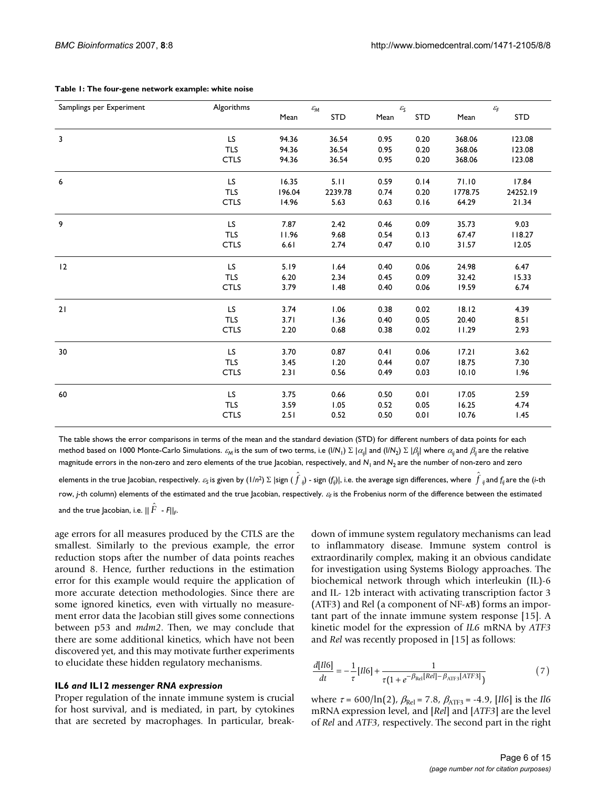| Samplings per Experiment | Algorithms  | $\varepsilon_{\rm M}$ |            |      | $\mathcal{E}_\mathsf{S}$ |         | $\mathcal{E}_{\mathsf{F}}$ |  |
|--------------------------|-------------|-----------------------|------------|------|--------------------------|---------|----------------------------|--|
|                          |             | Mean                  | <b>STD</b> | Mean | <b>STD</b>               | Mean    | <b>STD</b>                 |  |
| $\overline{\mathbf{3}}$  | LS.         | 94.36                 | 36.54      | 0.95 | 0.20                     | 368.06  | 123.08                     |  |
|                          | <b>TLS</b>  | 94.36                 | 36.54      | 0.95 | 0.20                     | 368.06  | 123.08                     |  |
|                          | <b>CTLS</b> | 94.36                 | 36.54      | 0.95 | 0.20                     | 368.06  | 123.08                     |  |
| 6                        | LS.         | 16.35                 | 5.11       | 0.59 | 0.14                     | 71.10   | 17.84                      |  |
|                          | <b>TLS</b>  | 196.04                | 2239.78    | 0.74 | 0.20                     | 1778.75 | 24252.19                   |  |
|                          | <b>CTLS</b> | 14.96                 | 5.63       | 0.63 | 0.16                     | 64.29   | 21.34                      |  |
| 9                        | LS.         | 7.87                  | 2.42       | 0.46 | 0.09                     | 35.73   | 9.03                       |  |
|                          | <b>TLS</b>  | 11.96                 | 9.68       | 0.54 | 0.13                     | 67.47   | 118.27                     |  |
|                          | <b>CTLS</b> | 6.61                  | 2.74       | 0.47 | 0.10                     | 31.57   | 12.05                      |  |
| 12                       | LS.         | 5.19                  | 1.64       | 0.40 | 0.06                     | 24.98   | 6.47                       |  |
|                          | <b>TLS</b>  | 6.20                  | 2.34       | 0.45 | 0.09                     | 32.42   | 15.33                      |  |
|                          | <b>CTLS</b> | 3.79                  | 1.48       | 0.40 | 0.06                     | 19.59   | 6.74                       |  |
| 21                       | LS.         | 3.74                  | 1.06       | 0.38 | 0.02                     | 18.12   | 4.39                       |  |
|                          | <b>TLS</b>  | 3.71                  | 1.36       | 0.40 | 0.05                     | 20.40   | 8.51                       |  |
|                          | <b>CTLS</b> | 2.20                  | 0.68       | 0.38 | 0.02                     | 11.29   | 2.93                       |  |
| 30                       | LS.         | 3.70                  | 0.87       | 0.41 | 0.06                     | 17.21   | 3.62                       |  |
|                          | <b>TLS</b>  | 3.45                  | 1.20       | 0.44 | 0.07                     | 18.75   | 7.30                       |  |
|                          | <b>CTLS</b> | 2.31                  | 0.56       | 0.49 | 0.03                     | 10.10   | 1.96                       |  |
| 60                       | LS.         | 3.75                  | 0.66       | 0.50 | 0.01                     | 17.05   | 2.59                       |  |
|                          | <b>TLS</b>  | 3.59                  | 1.05       | 0.52 | 0.05                     | 16.25   | 4.74                       |  |
|                          | <b>CTLS</b> | 2.51                  | 0.52       | 0.50 | 0.01                     | 10.76   | 1.45                       |  |

#### **Table 1: The four-gene network example: white noise**

The table shows the error comparisons in terms of the mean and the standard deviation (STD) for different numbers of data points for each method based on 1000 Monte-Carlo Simulations.  $\varepsilon_{\sf M}$  is the sum of two terms, i.e (I/N<sub>1</sub>) Σ  $|\alpha_{\vec{\jmath}}|$  and (I/N<sub>2</sub>) Σ  $|\beta_{\vec{\jmath}}|$  where  $\alpha_{\vec{\jmath}}$  and  $\beta_{\vec{\jmath}}$  are the relative magnitude errors in the non-zero and zero elements of the true Jacobian, respectively, and  $N_1$  and  $N_2$  are the number of non-zero and zero

elements in the true Jacobian, respectively.  $\varepsilon_{\sf S}$  is given by (1/n<sup>2</sup>)  $\Sigma$  |sign (  $\hat f$  <sub>ij</sub>) - sign (f,j)|, i.e. the average sign differences, where  $\hat f$  <sub>ij</sub> and f,j are the (i-th row, *j*-th column) elements of the estimated and the true Jacobian, respectively. <sup>ε</sup>*F* is the Frobenius norm of the difference between the estimated and the true Jacobian, i.e.  $||\,\hat{F}\,$  -  $F||_F$ .

age errors for all measures produced by the CTLS are the smallest. Similarly to the previous example, the error reduction stops after the number of data points reaches around 8. Hence, further reductions in the estimation error for this example would require the application of more accurate detection methodologies. Since there are some ignored kinetics, even with virtually no measurement error data the Jacobian still gives some connections between p53 and *mdm2*. Then, we may conclude that there are some additional kinetics, which have not been discovered yet, and this may motivate further experiments to elucidate these hidden regulatory mechanisms.

#### **IL6** *and* **IL12** *messenger RNA expression*

Proper regulation of the innate immune system is crucial for host survival, and is mediated, in part, by cytokines that are secreted by macrophages. In particular, breakdown of immune system regulatory mechanisms can lead to inflammatory disease. Immune system control is extraordinarily complex, making it an obvious candidate for investigation using Systems Biology approaches. The biochemical network through which interleukin (IL)-6 and IL- 12b interact with activating transcription factor 3 (ATF3) and Rel (a component of NF-κB) forms an important part of the innate immune system response [15]. A kinetic model for the expression of *IL6* mRNA by *ATF3* and *Rel* was recently proposed in [15] as follows:

$$
\frac{d[II6]}{dt} = -\frac{1}{\tau}[II6] + \frac{1}{\tau(1 + e^{-\beta_{\text{Rel}}[Rel] - \beta_{\text{ATF3}}[ATF3]})}
$$
(7)

where  $\tau = 600/\ln(2)$ ,  $\beta_{\text{Rel}} = 7.8$ ,  $\beta_{\text{ATF3}} = -4.9$ , [*Il6*] is the *Il6* mRNA expression level, and [*Rel*] and [*ATF3*] are the level of *Rel* and *ATF3*, respectively. The second part in the right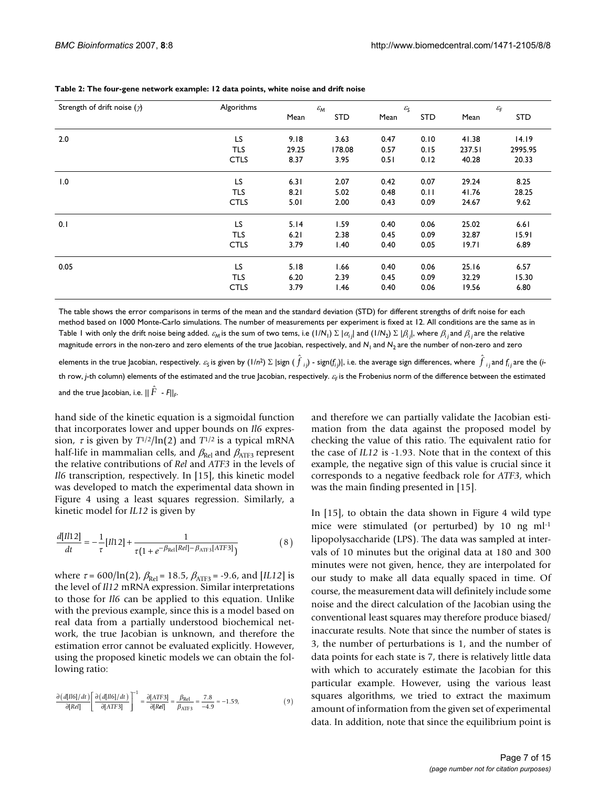| Strength of drift noise $(\gamma)$ | Algorithms  | $\varepsilon_{\rm M}$ |            | $\varepsilon_{\rm S}$ |            | $\mathcal{E}_{\mathsf{F}}$ |            |
|------------------------------------|-------------|-----------------------|------------|-----------------------|------------|----------------------------|------------|
|                                    |             | Mean                  | <b>STD</b> | Mean                  | <b>STD</b> | Mean                       | <b>STD</b> |
| 2.0                                | LS          | 9.18                  | 3.63       | 0.47                  | 0.10       | 41.38                      | 14.19      |
|                                    | <b>TLS</b>  | 29.25                 | 178.08     | 0.57                  | 0.15       | 237.51                     | 2995.95    |
|                                    | <b>CTLS</b> | 8.37                  | 3.95       | 0.51                  | 0.12       | 40.28                      | 20.33      |
| 1.0                                | LS          | 6.31                  | 2.07       | 0.42                  | 0.07       | 29.24                      | 8.25       |
|                                    | <b>TLS</b>  | 8.21                  | 5.02       | 0.48                  | 0.11       | 41.76                      | 28.25      |
|                                    | <b>CTLS</b> | 5.01                  | 2.00       | 0.43                  | 0.09       | 24.67                      | 9.62       |
| 0.1                                | <b>LS</b>   | 5.14                  | 1.59       | 0.40                  | 0.06       | 25.02                      | 6.61       |
|                                    | <b>TLS</b>  | 6.21                  | 2.38       | 0.45                  | 0.09       | 32.87                      | 15.91      |
|                                    | <b>CTLS</b> | 3.79                  | 1.40       | 0.40                  | 0.05       | 19.71                      | 6.89       |
| 0.05                               | LS          | 5.18                  | 1.66       | 0.40                  | 0.06       | 25.16                      | 6.57       |
|                                    | <b>TLS</b>  | 6.20                  | 2.39       | 0.45                  | 0.09       | 32.29                      | 15.30      |
|                                    | <b>CTLS</b> | 3.79                  | 1.46       | 0.40                  | 0.06       | 19.56                      | 6.80       |

#### **Table 2: The four-gene network example: 12 data points, white noise and drift noise**

The table shows the error comparisons in terms of the mean and the standard deviation (STD) for different strengths of drift noise for each method based on 1000 Monte-Carlo simulations. The number of measurements per experiment is fixed at 12. All conditions are the same as in Table I with only the drift noise being added.  $\varepsilon_{\sf M}$  is the sum of two tems, i.e (I/N<sub>1</sub>) Σ  $|\alpha_j|$  and (I/N<sub>2</sub>) Σ  $|\beta_j|$ , where  $\beta_j$  and  $\beta_j$  are the relative magnitude errors in the non-zero and zero elements of the true Jacobian, respectively, and  $N_1$  and  $N_2$  are the number of non-zero and zero

elements in the true Jacobian, respectively.  $\varepsilon_{\sf S}$  is given by (1/n<sup>2</sup>)  $\Sigma$  |sign (  ${\hat f}_{ij}$ ) - sign( $f_{ij}$ )|, i.e. the average sign differences, where  $\,{\hat f}_{ij}$ and  $f_{ij}$ are the (ith row, *j*-th column) elements of the estimated and the true Jacobian, respectively. ε<sub>F</sub> is the Frobenius norm of the difference between the estimated and the true Jacobian, i.e.  $||\,\hat{F}\,$  -  $F||_F$ .

hand side of the kinetic equation is a sigmoidal function that incorporates lower and upper bounds on *Il6* expression,  $\tau$  is given by  $T^{1/2}$ /ln(2) and  $T^{1/2}$  is a typical mRNA half-life in mammalian cells, and  $\beta_{\text{Re}}$  and  $\beta_{\text{ATF3}}$  represent the relative contributions of *Rel* and *ATF3* in the levels of *Il6* transcription, respectively. In [15], this kinetic model was developed to match the experimental data shown in Figure 4 using a least squares regression. Similarly, a kinetic model for *IL12* is given by

$$
\frac{d[Il12]}{dt} = -\frac{1}{\tau}[l12] + \frac{1}{\tau(1 + e^{-\beta_{\text{Rel}}[Rel] - \beta_{\text{ATF3}}[ATF3]})}
$$
(8)

where  $\tau = 600/\ln(2)$ ,  $\beta_{\text{Rel}} = 18.5$ ,  $\beta_{\text{ATF3}} = -9.6$ , and [*IL12*] is the level of *Il12* mRNA expression. Similar interpretations to those for *Il6* can be applied to this equation. Unlike with the previous example, since this is a model based on real data from a partially understood biochemical network, the true Jacobian is unknown, and therefore the estimation error cannot be evaluated explicitly. However, using the proposed kinetic models we can obtain the following ratio:

$$
\frac{\partial (d[II6]/dt)}{\partial [Rel]} \left[ \frac{\partial (d[II6]/dt)}{\partial [ATF3]} \right]^{-1} = \frac{\partial [ATF3]}{\partial [Rel]} = \frac{\beta_{\text{Rel}}}{\beta_{\text{ATF3}}} = \frac{7.8}{-4.9} \approx -1.59,\tag{9}
$$

and therefore we can partially validate the Jacobian estimation from the data against the proposed model by checking the value of this ratio. The equivalent ratio for the case of *IL12* is -1.93. Note that in the context of this example, the negative sign of this value is crucial since it corresponds to a negative feedback role for *ATF3*, which was the main finding presented in [15].

In [15], to obtain the data shown in Figure 4 wild type mice were stimulated (or perturbed) by 10 ng ml-1 lipopolysaccharide (LPS). The data was sampled at intervals of 10 minutes but the original data at 180 and 300 minutes were not given, hence, they are interpolated for our study to make all data equally spaced in time. Of course, the measurement data will definitely include some noise and the direct calculation of the Jacobian using the conventional least squares may therefore produce biased/ inaccurate results. Note that since the number of states is 3, the number of perturbations is 1, and the number of data points for each state is 7, there is relatively little data with which to accurately estimate the Jacobian for this particular example. However, using the various least squares algorithms, we tried to extract the maximum amount of information from the given set of experimental data. In addition, note that since the equilibrium point is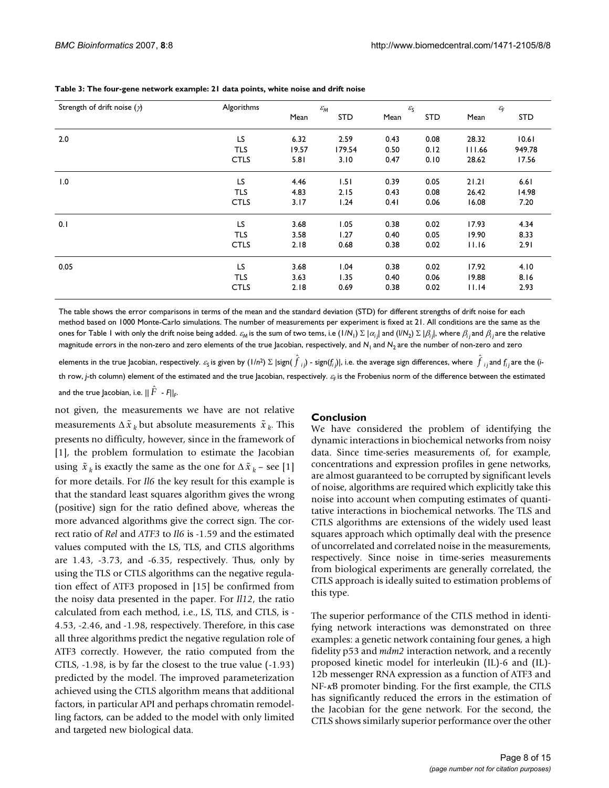| Strength of drift noise $(\gamma)$ | Algorithms<br>$\varepsilon_{\rm M}$ |       |            | $\varepsilon_{\rm S}$ |            | $\mathcal{E}_{\mathsf{F}}$ |            |  |
|------------------------------------|-------------------------------------|-------|------------|-----------------------|------------|----------------------------|------------|--|
|                                    |                                     | Mean  | <b>STD</b> | Mean                  | <b>STD</b> | Mean                       | <b>STD</b> |  |
| 2.0                                | LS                                  | 6.32  | 2.59       | 0.43                  | 0.08       | 28.32                      | 10.61      |  |
|                                    | <b>TLS</b>                          | 19.57 | 179.54     | 0.50                  | 0.12       | 111.66                     | 949.78     |  |
|                                    | <b>CTLS</b>                         | 5.81  | 3.10       | 0.47                  | 0.10       | 28.62                      | 17.56      |  |
| 1.0                                | LS                                  | 4.46  | 1.51       | 0.39                  | 0.05       | 21.21                      | 6.61       |  |
|                                    | <b>TLS</b>                          | 4.83  | 2.15       | 0.43                  | 0.08       | 26.42                      | 14.98      |  |
|                                    | <b>CTLS</b>                         | 3.17  | 1.24       | 0.41                  | 0.06       | 16.08                      | 7.20       |  |
| 0.1                                | LS                                  | 3.68  | 1.05       | 0.38                  | 0.02       | 17.93                      | 4.34       |  |
|                                    | <b>TLS</b>                          | 3.58  | 1.27       | 0.40                  | 0.05       | 19.90                      | 8.33       |  |
|                                    | <b>CTLS</b>                         | 2.18  | 0.68       | 0.38                  | 0.02       | 11.16                      | 2.91       |  |
| 0.05                               | LS                                  | 3.68  | 1.04       | 0.38                  | 0.02       | 17.92                      | 4.10       |  |
|                                    | <b>TLS</b>                          | 3.63  | 1.35       | 0.40                  | 0.06       | 19.88                      | 8.16       |  |
|                                    | <b>CTLS</b>                         | 2.18  | 0.69       | 0.38                  | 0.02       | 11.14                      | 2.93       |  |

#### **Table 3: The four-gene network example: 21 data points, white noise and drift noise**

The table shows the error comparisons in terms of the mean and the standard deviation (STD) for different strengths of drift noise for each method based on 1000 Monte-Carlo simulations. The number of measurements per experiment is fixed at 21. All conditions are the same as the ones for Table I with only the drift noise being added.  $\varepsilon_{M}$  is the sum of two tems, i.e (I/N<sub>1</sub>) Σ  $|\alpha_{i j}|$  and (I/N<sub>2</sub>) Σ  $|\beta_{i j}|$ , where  $\beta_{i j}$  and  $\beta_{i j}$  are the relative magnitude errors in the non-zero and zero elements of the true Jacobian, respectively, and  $N_1$  and  $N_2$  are the number of non-zero and zero

elements in the true Jacobian, respectively.  $\varepsilon_{\sf S}$  is given by (1/n²)  $\Sigma$  |sign(  ${\hat f}_{~ij}$ ) - sign( $f_{ij}$ )|, i.e. the average sign differences, where  $\,{\hat f}_{~ij}$ and  $f_{ij}$ are the (ith row, *j*-th column) element of the estimated and the true Jacobian, respectively. ε<sub>F</sub> is the Frobenius norm of the difference between the estimated and the true Jacobian, i.e.  $||\,\hat{F}\,$  -  $F||_F$ .

not given, the measurements we have are not relative measurements  $\Delta \tilde{x}_k$  but absolute measurements  $\tilde{x}_k$ . This presents no difficulty, however, since in the framework of [1], the problem formulation to estimate the Jacobian using  $\tilde{x}_k$  is exactly the same as the one for  $\Delta \tilde{x}_k$  – see [1] for more details. For *Il6* the key result for this example is that the standard least squares algorithm gives the wrong (positive) sign for the ratio defined above, whereas the more advanced algorithms give the correct sign. The correct ratio of *Rel* and *ATF3* to *Il6* is -1.59 and the estimated values computed with the LS, TLS, and CTLS algorithms are 1.43, -3.73, and -6.35, respectively. Thus, only by using the TLS or CTLS algorithms can the negative regulation effect of ATF3 proposed in [15] be confirmed from the noisy data presented in the paper. For *Il12*, the ratio calculated from each method, i.e., LS, TLS, and CTLS, is - 4.53, -2.46, and -1.98, respectively. Therefore, in this case all three algorithms predict the negative regulation role of ATF3 correctly. However, the ratio computed from the CTLS, -1.98, is by far the closest to the true value (-1.93) predicted by the model. The improved parameterization achieved using the CTLS algorithm means that additional factors, in particular API and perhaps chromatin remodelling factors, can be added to the model with only limited and targeted new biological data.

#### **Conclusion**

We have considered the problem of identifying the dynamic interactions in biochemical networks from noisy data. Since time-series measurements of, for example, concentrations and expression profiles in gene networks, are almost guaranteed to be corrupted by significant levels of noise, algorithms are required which explicitly take this noise into account when computing estimates of quantitative interactions in biochemical networks. The TLS and CTLS algorithms are extensions of the widely used least squares approach which optimally deal with the presence of uncorrelated and correlated noise in the measurements, respectively. Since noise in time-series measurements from biological experiments are generally correlated, the CTLS approach is ideally suited to estimation problems of this type.

The superior performance of the CTLS method in identifying network interactions was demonstrated on three examples: a genetic network containing four genes, a high fidelity p53 and *mdm2* interaction network, and a recently proposed kinetic model for interleukin (IL)-6 and (IL)- 12b messenger RNA expression as a function of ATF3 and NF-κB promoter binding. For the first example, the CTLS has significantly reduced the errors in the estimation of the Jacobian for the gene network. For the second, the CTLS shows similarly superior performance over the other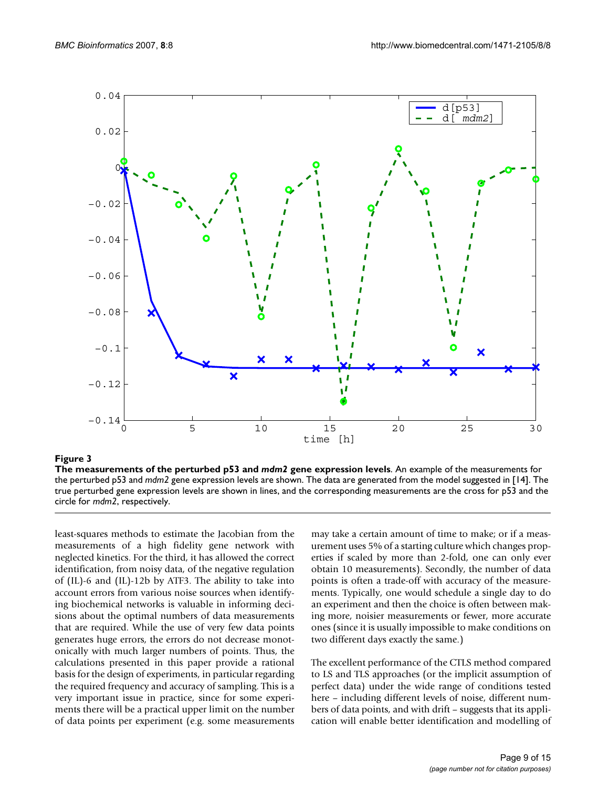

#### Figure 3

**The measurements of the perturbed p53 and** *mdm2* **gene expression levels**. An example of the measurements for the perturbed p53 and *mdm2* gene expression levels are shown. The data are generated from the model suggested in [14]. The true perturbed gene expression levels are shown in lines, and the corresponding measurements are the cross for p53 and the circle for *mdm2*, respectively.

least-squares methods to estimate the Jacobian from the measurements of a high fidelity gene network with neglected kinetics. For the third, it has allowed the correct identification, from noisy data, of the negative regulation of (IL)-6 and (IL)-12b by ATF3. The ability to take into account errors from various noise sources when identifying biochemical networks is valuable in informing decisions about the optimal numbers of data measurements that are required. While the use of very few data points generates huge errors, the errors do not decrease monotonically with much larger numbers of points. Thus, the calculations presented in this paper provide a rational basis for the design of experiments, in particular regarding the required frequency and accuracy of sampling. This is a very important issue in practice, since for some experiments there will be a practical upper limit on the number of data points per experiment (e.g. some measurements may take a certain amount of time to make; or if a measurement uses 5% of a starting culture which changes properties if scaled by more than 2-fold, one can only ever obtain 10 measurements). Secondly, the number of data points is often a trade-off with accuracy of the measurements. Typically, one would schedule a single day to do an experiment and then the choice is often between making more, noisier measurements or fewer, more accurate ones (since it is usually impossible to make conditions on two different days exactly the same.)

The excellent performance of the CTLS method compared to LS and TLS approaches (or the implicit assumption of perfect data) under the wide range of conditions tested here – including different levels of noise, different numbers of data points, and with drift – suggests that its application will enable better identification and modelling of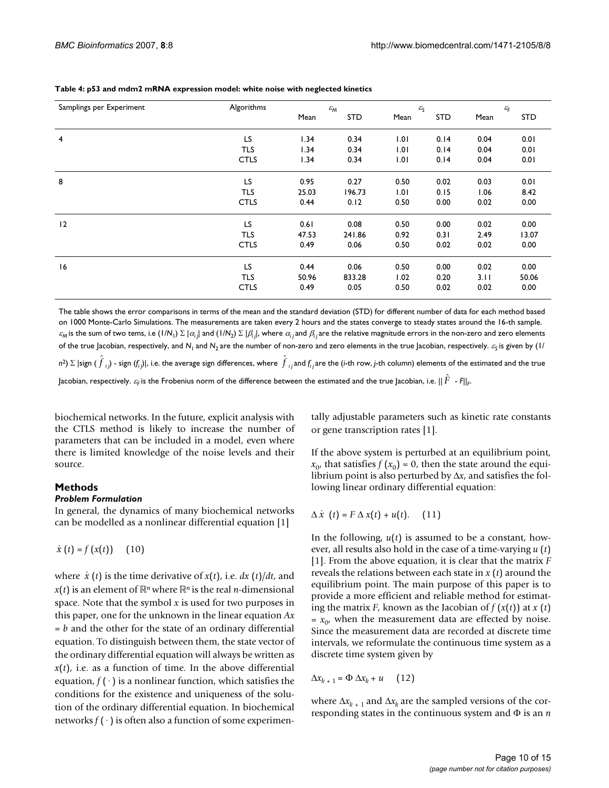| Samplings per Experiment | Algorithms  | $\varepsilon_{\rm M}$ |            | $\varepsilon_{\rm S}$ |            | $\mathcal{E}_{\mathsf{F}}$ |            |
|--------------------------|-------------|-----------------------|------------|-----------------------|------------|----------------------------|------------|
|                          |             | Mean                  | <b>STD</b> | Mean                  | <b>STD</b> | Mean                       | <b>STD</b> |
| $\overline{4}$           | LS          | 1.34                  | 0.34       | 1.01                  | 0.14       | 0.04                       | 0.01       |
|                          | TLS         | 1.34                  | 0.34       | 1.01                  | 0.14       | 0.04                       | 0.01       |
|                          | <b>CTLS</b> | 1.34                  | 0.34       | 1.01                  | 0.14       | 0.04                       | 0.01       |
| 8                        | LS          | 0.95                  | 0.27       | 0.50                  | 0.02       | 0.03                       | 0.01       |
|                          | TLS         | 25.03                 | 196.73     | 1.01                  | 0.15       | 1.06                       | 8.42       |
|                          | <b>CTLS</b> | 0.44                  | 0.12       | 0.50                  | 0.00       | 0.02                       | 0.00       |
| 12                       | LS          | 0.61                  | 0.08       | 0.50                  | 0.00       | 0.02                       | 0.00       |
|                          | TLS         | 47.53                 | 241.86     | 0.92                  | 0.31       | 2.49                       | 13.07      |
|                          | <b>CTLS</b> | 0.49                  | 0.06       | 0.50                  | 0.02       | 0.02                       | 0.00       |
| 16                       | LS          | 0.44                  | 0.06       | 0.50                  | 0.00       | 0.02                       | 0.00       |
|                          | <b>TLS</b>  | 50.96                 | 833.28     | 1.02                  | 0.20       | 3.11                       | 50.06      |
|                          | <b>CTLS</b> | 0.49                  | 0.05       | 0.50                  | 0.02       | 0.02                       | 0.00       |

#### **Table 4: p53 and mdm2 mRNA expression model: white noise with neglected kinetics**

The table shows the error comparisons in terms of the mean and the standard deviation (STD) for different number of data for each method based on 1000 Monte-Carlo Simulations. The measurements are taken every 2 hours and the states converge to steady states around the 16-th sample.  $\varepsilon_{\sf M}$  is the sum of two tems, i.e (I/N<sub>1</sub>) Σ  $|\alpha_{i}{|}$  and (I/N<sub>2</sub>) Σ  $|\beta_{i}{|}$ , where  $\alpha_{i}{_{j}}$ and  $\beta_{i}{_{j}}$ are the relative magnitude errors in the non-zero and zero elements of the true Jacobian, respectively, and *N*<sub>1</sub> and *N*<sub>2</sub> are the number of non-zero and zero elements in the true Jacobian, respectively. ε<sub>ς</sub> is given by (1/ n<sup>2</sup>)  $\Sigma$  |sign (  $\hat{f}_{ij}$ ) - sign (f $_{ij}$ )|, i.e. the average sign differences, where  $\hat{f}_{ij}$ and f $_{ij}$ are the (i-th row, j-th column) elements of the estimated and the true Jacobian, respectively.  $\varepsilon_{\!F}$  is the Frobenius norm of the difference between the estimated and the true Jacobian, i.e.  $\|\hat{F}\|$  -  $F\|_{F}$ 

biochemical networks. In the future, explicit analysis with the CTLS method is likely to increase the number of parameters that can be included in a model, even where there is limited knowledge of the noise levels and their source.

#### **Methods**

#### *Problem Formulation*

In general, the dynamics of many biochemical networks can be modelled as a nonlinear differential equation [1]

 $\dot{x}(t) = f(x(t))$  (10)

where  $\dot{x}$  (*t*) is the time derivative of  $x(t)$ , i.e.  $dx$  (*t*)/ $dt$ , and  $x(t)$  is an element of  $\mathbb{R}^n$  where  $\mathbb{R}^n$  is the real *n*-dimensional space. Note that the symbol *x* is used for two purposes in this paper, one for the unknown in the linear equation *Ax*  $= b$  and the other for the state of an ordinary differential equation. To distinguish between them, the state vector of the ordinary differential equation will always be written as  $x(t)$ , i.e. as a function of time. In the above differential equation,  $f(\cdot)$  is a nonlinear function, which satisfies the conditions for the existence and uniqueness of the solution of the ordinary differential equation. In biochemical networks  $f(\cdot)$  is often also a function of some experimentally adjustable parameters such as kinetic rate constants or gene transcription rates [1].

If the above system is perturbed at an equilibrium point,  $x_0$ , that satisfies  $f(x_0) = 0$ , then the state around the equilibrium point is also perturbed by Δ*x*, and satisfies the following linear ordinary differential equation:

$$
\Delta \dot{x} (t) = F \Delta x(t) + u(t). \quad (11)
$$

In the following, *u*(*t*) is assumed to be a constant, however, all results also hold in the case of a time-varying *u* (*t*) [1]. From the above equation, it is clear that the matrix *F* reveals the relations between each state in *x* (*t*) around the equilibrium point. The main purpose of this paper is to provide a more efficient and reliable method for estimating the matrix *F*, known as the Jacobian of  $f(x(t))$  at  $x(t)$  $= x_{0}$ , when the measurement data are effected by noise. Since the measurement data are recorded at discrete time intervals, we reformulate the continuous time system as a discrete time system given by

$$
\Delta x_{k+1} = \Phi \, \Delta x_k + u \quad \text{(12)}
$$

where  $\Delta x_{k+1}$  and  $\Delta x_k$  are the sampled versions of the corresponding states in the continuous system and Φ is an *n*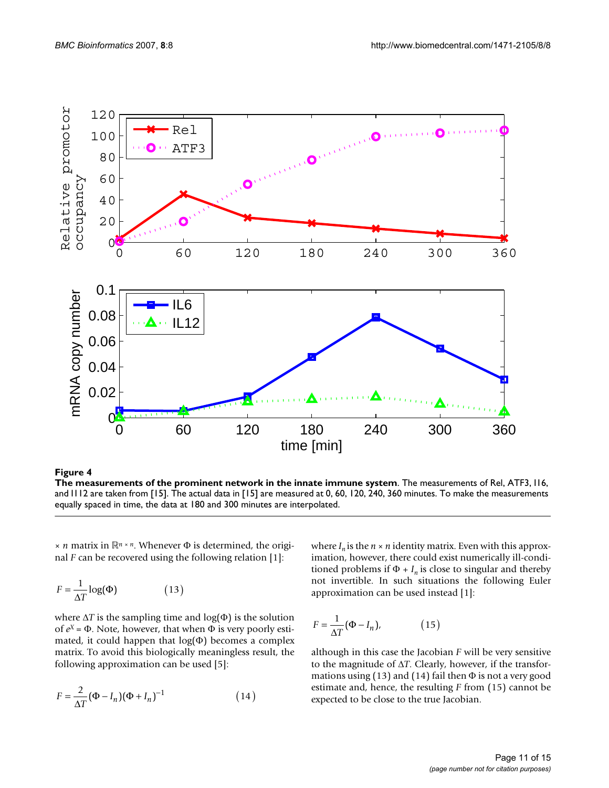

Figure 4 **The measurements of the prominent network in the innate immune system**. The measurements of Rel, ATF3, I16, and I112 are taken from [15]. The actual data in [15] are measured at 0, 60, 120, 240, 360 minutes. To make the measurements equally spaced in time, the data at 180 and 300 minutes are interpolated.

 $× n$  matrix in ℝ<sup>*n*</sup> × *n*. Whenever Φ is determined, the original *F* can be recovered using the following relation [1]:

$$
F = \frac{1}{\Delta T} \log(\Phi) \tag{13}
$$

where  $\Delta T$  is the sampling time and  $log(\Phi)$  is the solution of *e X* = Φ. Note, however, that when Φ is very poorly estimated, it could happen that  $log(\Phi)$  becomes a complex matrix. To avoid this biologically meaningless result, the following approximation can be used [5]:

$$
F = \frac{2}{\Delta T} (\Phi - I_n) (\Phi + I_n)^{-1}
$$
 (14)

where  $I_n$  is the  $n \times n$  identity matrix. Even with this approximation, however, there could exist numerically ill-conditioned problems if  $\Phi$  +  $I_n$  is close to singular and thereby not invertible. In such situations the following Euler approximation can be used instead [1]:

$$
F = \frac{1}{\Delta T} (\Phi - I_n), \tag{15}
$$

although in this case the Jacobian *F* will be very sensitive to the magnitude of Δ*T*. Clearly, however, if the transformations using (13) and (14) fail then  $\Phi$  is not a very good estimate and, hence, the resulting *F* from (15) cannot be expected to be close to the true Jacobian.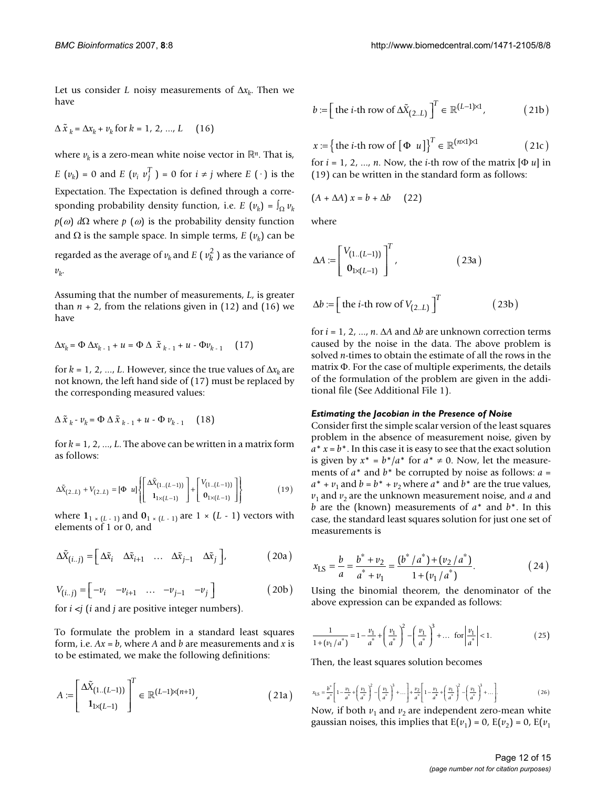Let us consider *L* noisy measurements of  $\Delta x_k$ . Then we have

$$
\Delta \tilde{x}_k = \Delta x_k + v_k \text{ for } k = 1, 2, ..., L \quad (16)
$$

where  $v_k$  is a zero-mean white noise vector in  $\mathbb{R}^n$ . That is, *E*  $(v_k) = 0$  and *E*  $(v_i v_j^T) = 0$  for  $i \neq j$  where *E*  $(\cdot)$  is the Expectation. The Expectation is defined through a corresponding probability density function, i.e. *E*  $(v_k) = \int_{\Omega} v_k$ *p*(ω) *d*Ω where *p* (ω) is the probability density function and  $\Omega$  is the sample space. In simple terms,  $E(\nu_k)$  can be regarded as the average of  $v_k$  and  $E(v_k^2)$  as the variance of *vk* .

Assuming that the number of measurements, *L*, is greater than  $n + 2$ , from the relations given in (12) and (16) we have

$$
\Delta x_k = \Phi \, \Delta x_{k-1} + u = \Phi \, \Delta \, \tilde{x}_{k-1} + u - \Phi v_{k-1} \qquad (17)
$$

for  $k = 1, 2, ..., L$ . However, since the true values of  $\Delta x_k$  are not known, the left hand side of (17) must be replaced by the corresponding measured values:

$$
\Delta \tilde{x}_k - \nu_k = \Phi \Delta \tilde{x}_{k-1} + u - \Phi \nu_{k-1} \quad (18)
$$

for  $k = 1, 2, ..., L$ . The above can be written in a matrix form as follows:

$$
\Delta \tilde{X}_{(2..L)} + V_{(2..L)} = [\Phi \ u] \left\{ \begin{bmatrix} \Delta \tilde{X}_{(1..(L-1))} \\ 1_{1 \times (L-1)} \end{bmatrix} + \begin{bmatrix} V_{(1..(L-1))} \\ 0_{1 \times (L-1)} \end{bmatrix} \right\}
$$
(19)

where  $\mathbf{1}_{1 \times (L-1)}$  and  $\mathbf{0}_{1 \times (L-1)}$  are  $1 \times (L-1)$  vectors with elements of 1 or 0, and

$$
\Delta \tilde{X}_{(i..j)} = \begin{bmatrix} \Delta \tilde{x}_i & \Delta \tilde{x}_{i+1} & \dots & \Delta \tilde{x}_{j-1} & \Delta \tilde{x}_j \end{bmatrix},
$$
 (20a)

$$
V_{(i..j)} = \begin{bmatrix} -v_i & -v_{i+1} & \dots & -v_{j-1} & -v_j \end{bmatrix}
$$
 (20b)

for  $i \le j$  ( $i$  and  $j$  are positive integer numbers).

To formulate the problem in a standard least squares form, i.e.  $Ax = b$ , where  $A$  and  $b$  are measurements and  $x$  is to be estimated, we make the following definitions:

$$
A := \begin{bmatrix} \Delta \tilde{X}_{(1..(L-1))} \\ \mathbf{1}_{1 \times (L-1)} \end{bmatrix}^T \in \mathbb{R}^{(L-1) \times (n+1)},
$$
(21a)

$$
b := \left[ \text{ the } i \text{-th row of } \Delta \tilde{X}_{(2..L)} \right]^T \in \mathbb{R}^{(L-1)\times 1}, \tag{21b}
$$

$$
x := \left\{ \text{ the } i \text{-th row of } \left[ \Phi \ u \right] \right\}^T \in \mathbb{R}^{(n \times 1) \times 1} \tag{21c}
$$

for  $i = 1, 2, ..., n$ . Now, the *i*-th row of the matrix  $[\Phi u]$  in (19) can be written in the standard form as follows:

$$
(A + \Delta A) x = b + \Delta b \qquad (22)
$$

where

$$
\Delta A := \begin{bmatrix} V_{(1..(L-1))} \\ \mathbf{0}_{1 \times (L-1)} \end{bmatrix}^T, \tag{23a}
$$

$$
\Delta b := \left[ \text{ the } i \text{-th row of } V_{(2..L)} \right]^T \tag{23b}
$$

for *i* = 1, 2, ..., *n*. Δ*A* and Δ*b* are unknown correction terms caused by the noise in the data. The above problem is solved *n*-times to obtain the estimate of all the rows in the matrix Φ. For the case of multiple experiments, the details of the formulation of the problem are given in the additional file (See Additional File 1).

#### *Estimating the Jacobian in the Presence of Noise*

Consider first the simple scalar version of the least squares problem in the absence of measurement noise, given by  $a^* x = b^*$ . In this case it is easy to see that the exact solution is given by  $x^* = b^*/a^*$  for  $a^* \neq 0$ . Now, let the measurements of *a*\* and *b*\* be corrupted by noise as follows: *a* =  $a^* + v_1$  and  $b = b^* + v_2$  where  $a^*$  and  $b^*$  are the true values,  $v_1$  and  $v_2$  are the unknown measurement noise, and *a* and *b* are the (known) measurements of *a*\* and *b*\*. In this case, the standard least squares solution for just one set of measurements is

$$
x_{\rm LS} = \frac{b}{a} = \frac{b^* + v_2}{a^* + v_1} = \frac{(b^* / a^*) + (v_2 / a^*)}{1 + (v_1 / a^*)}.
$$
 (24)

Using the binomial theorem, the denominator of the above expression can be expanded as follows:

$$
\frac{1}{1 + (v_1/a^*)} = 1 - \frac{v_1}{a^*} + \left(\frac{v_1}{a^*}\right)^2 - \left(\frac{v_1}{a^*}\right)^3 + \dots \text{ for }\left|\frac{v_1}{a^*}\right| < 1. \tag{25}
$$

Then, the least squares solution becomes

$$
x_{\rm LS} = \frac{b^*}{a^*} \left[ 1 - \frac{v_1}{a^*} + \left(\frac{v_1}{a^*}\right)^2 - \left(\frac{v_1}{a^*}\right)^3 + \dots \right] + \frac{v_2}{a^*} \left[ 1 - \frac{v_1}{a^*} + \left(\frac{v_1}{a^*}\right)^2 - \left(\frac{v_1}{a^*}\right)^3 + \dots \right].
$$
 (26)

Now, if both  $v_1$  and  $v_2$  are independent zero-mean white gaussian noises, this implies that  $E(v_1) = 0$ ,  $E(v_2) = 0$ ,  $E(v_1)$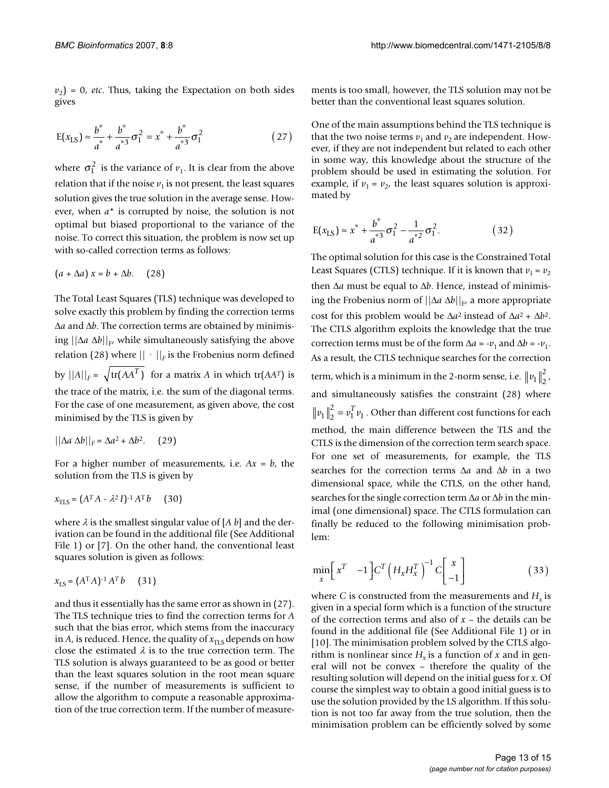$v_2$ ) = 0, *etc*. Thus, taking the Expectation on both sides gives

$$
E(x_{LS}) \approx \frac{b^*}{a^*} + \frac{b^*}{a^{*3}} \sigma_1^2 = x^* + \frac{b^*}{a^{*3}} \sigma_1^2
$$
 (27)

where  $\sigma_1^2$  is the variance of  $v_1$ . It is clear from the above relation that if the noise  $v_1$  is not present, the least squares solution gives the true solution in the average sense. However, when *a*\* is corrupted by noise, the solution is not optimal but biased proportional to the variance of the noise. To correct this situation, the problem is now set up with so-called correction terms as follows:

$$
(a + \Delta a) x = b + \Delta b. \quad (28)
$$

The Total Least Squares (TLS) technique was developed to solve exactly this problem by finding the correction terms Δ*a* and Δ*b*. The correction terms are obtained by minimising  $||\Delta a \Delta b||_{F}$ , while simultaneously satisfying the above relation (28) where  $|| \cdot ||_F$  is the Frobenius norm defined by  $||A||_F = \sqrt{\text{tr}(AA^T)}$  for a matrix *A* in which  $\text{tr}(AA^T)$  is the trace of the matrix, i.e. the sum of the diagonal terms. For the case of one measurement, as given above, the cost minimised by the TLS is given by

$$
||\Delta a \Delta b||_F = \Delta a^2 + \Delta b^2. \quad (29)
$$

For a higher number of measurements, i.e.  $Ax = b$ , the solution from the TLS is given by

$$
x_{\text{TLS}} = (A^T A - \lambda^2 I)^{-1} A^T b \qquad (30)
$$

where  $\lambda$  is the smallest singular value of [*A b*] and the derivation can be found in the additional file (See Additional File 1) or [7]. On the other hand, the conventional least squares solution is given as follows:

$$
x_{\text{LS}} = (A^{\text{T}}A)^{-1}A^{\text{T}}b \qquad (31)
$$

and thus it essentially has the same error as shown in (27). The TLS technique tries to find the correction terms for *A* such that the bias error, which stems from the inaccuracy in *A*, is reduced. Hence, the quality of  $x_{\text{TLS}}$  depends on how close the estimated  $\lambda$  is to the true correction term. The TLS solution is always guaranteed to be as good or better than the least squares solution in the root mean square sense, if the number of measurements is sufficient to allow the algorithm to compute a reasonable approximation of the true correction term. If the number of measurements is too small, however, the TLS solution may not be better than the conventional least squares solution.

One of the main assumptions behind the TLS technique is that the two noise terms  $v_1$  and  $v_2$  are independent. However, if they are not independent but related to each other in some way, this knowledge about the structure of the problem should be used in estimating the solution. For example, if  $v_1 = v_2$ , the least squares solution is approximated by

$$
E(x_{LS}) \approx x^* + \frac{b^*}{a^{*3}} \sigma_1^2 - \frac{1}{a^{*2}} \sigma_1^2.
$$
 (32)

The optimal solution for this case is the Constrained Total Least Squares (CTLS) technique. If it is known that  $v_1 = v_2$ then Δ*a* must be equal to Δ*b*. Hence, instead of minimising the Frobenius norm of ||Δ*a* Δ*b*||<sup>F</sup> , a more appropriate cost for this problem would be  $\Delta a^2$  instead of  $\Delta a^2 + \Delta b^2$ . The CTLS algorithm exploits the knowledge that the true correction terms must be of the form  $\Delta a = -v_1$  and  $\Delta b = -v_1$ . As a result, the CTLS technique searches for the correction term, which is a minimum in the 2-norm sense, i.e.  $\|v_1\|_2^2$ , and simultaneously satisfies the constraint (28) where  $v_1\|_2^2 = v_1^T v_1$ . Other than different cost functions for each method, the main difference between the TLS and the CTLS is the dimension of the correction term search space. For one set of measurements, for example, the TLS searches for the correction terms Δ*a* and Δ*b* in a two dimensional space, while the CTLS, on the other hand, searches for the single correction term Δ*a* or Δ*b* in the minimal (one dimensional) space. The CTLS formulation can finally be reduced to the following minimisation problem:  $\frac{2}{2} = v_1^T v_1$ 

$$
\min_{x} \left[ x^{T} -1 \right] C^{T} \left( H_{x} H_{x}^{T} \right)^{-1} C \left[ \begin{array}{c} x \\ -1 \end{array} \right] \tag{33}
$$

where *C* is constructed from the measurements and  $H_x$  is given in a special form which is a function of the structure of the correction terms and also of *x* – the details can be found in the additional file (See Additional File 1) or in [10]. The minimisation problem solved by the CTLS algorithm is nonlinear since  $H_x$  is a function of *x* and in general will not be convex – therefore the quality of the resulting solution will depend on the initial guess for *x*. Of course the simplest way to obtain a good initial guess is to use the solution provided by the LS algorithm. If this solution is not too far away from the true solution, then the minimisation problem can be efficiently solved by some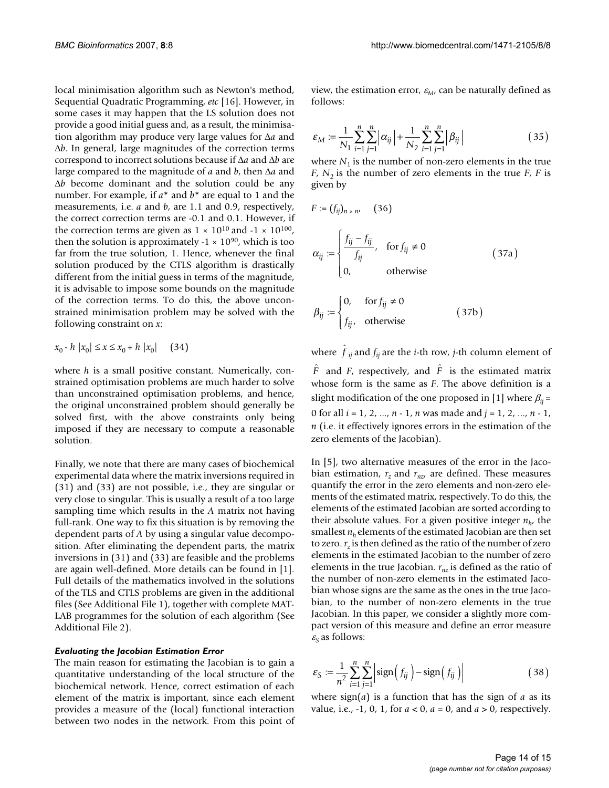local minimisation algorithm such as Newton's method, Sequential Quadratic Programming, *etc* [16]. However, in some cases it may happen that the LS solution does not provide a good initial guess and, as a result, the minimisation algorithm may produce very large values for Δ*a* and Δ*b*. In general, large magnitudes of the correction terms correspond to incorrect solutions because if Δ*a* and Δ*b* are large compared to the magnitude of *a* and *b*, then Δ*a* and Δ*b* become dominant and the solution could be any number. For example, if *a*\* and *b*\* are equal to 1 and the measurements, i.e. *a* and *b*, are 1.1 and 0.9, respectively, the correct correction terms are -0.1 and 0.1. However, if the correction terms are given as  $1 \times 10^{10}$  and  $-1 \times 10^{100}$ , then the solution is approximately  $-1 \times 10^{90}$ , which is too far from the true solution, 1. Hence, whenever the final solution produced by the CTLS algorithm is drastically different from the initial guess in terms of the magnitude, it is advisable to impose some bounds on the magnitude of the correction terms. To do this, the above unconstrained minimisation problem may be solved with the following constraint on *x*:

$$
x_0 - h |x_0| \le x \le x_0 + h |x_0| \qquad (34)
$$

where *h* is a small positive constant. Numerically, constrained optimisation problems are much harder to solve than unconstrained optimisation problems, and hence, the original unconstrained problem should generally be solved first, with the above constraints only being imposed if they are necessary to compute a reasonable solution.

Finally, we note that there are many cases of biochemical experimental data where the matrix inversions required in (31) and (33) are not possible, i.e., they are singular or very close to singular. This is usually a result of a too large sampling time which results in the *A* matrix not having full-rank. One way to fix this situation is by removing the dependent parts of *A* by using a singular value decomposition. After eliminating the dependent parts, the matrix inversions in (31) and (33) are feasible and the problems are again well-defined. More details can be found in [1]. Full details of the mathematics involved in the solutions of the TLS and CTLS problems are given in the additional files (See Additional File 1), together with complete MAT-LAB programmes for the solution of each algorithm (See Additional File 2).

#### *Evaluating the Jacobian Estimation Error*

The main reason for estimating the Jacobian is to gain a quantitative understanding of the local structure of the biochemical network. Hence, correct estimation of each element of the matrix is important, since each element provides a measure of the (local) functional interaction between two nodes in the network. From this point of view, the estimation error,  $\varepsilon_M$  can be naturally defined as follows:

$$
\varepsilon_M := \frac{1}{N_1} \sum_{i=1}^n \sum_{j=1}^n \left| \alpha_{ij} \right| + \frac{1}{N_2} \sum_{i=1}^n \sum_{j=1}^n \left| \beta_{ij} \right| \tag{35}
$$

where  $N_1$  is the number of non-zero elements in the true *F*,  $N_2$  is the number of zero elements in the true *F*, *F* is given by

$$
F := (f_{ij})_{n \times n'} \quad (36)
$$

$$
\alpha_{ij} := \begin{cases} \frac{f_{ij} - f_{ij}}{f_{ij}}, & \text{for } f_{ij} \neq 0\\ 0, & \text{otherwise} \end{cases}
$$
 (37a)

$$
\beta_{ij} := \begin{cases} 0, & \text{for } f_{ij} \neq 0 \\ f_{ij}, & \text{otherwise} \end{cases} \tag{37b}
$$

where  $\hat{f}_{ij}$  and  $f_{ij}$  are the *i*-th row, *j*-th column element of

 $\hat{F}$  and *F*, respectively, and  $\hat{F}$  is the estimated matrix whose form is the same as *F*. The above definition is a slight modification of the one proposed in [1] where β*ij* = 0 for all *i* = 1, 2, ..., *n* - 1, *n* was made and *j* = 1, 2, ..., *n* - 1, *n* (i.e. it effectively ignores errors in the estimation of the zero elements of the Jacobian).

In [5], two alternative measures of the error in the Jacobian estimation,  $r_z$  and  $r_{nz}$  are defined. These measures quantify the error in the zero elements and non-zero elements of the estimated matrix, respectively. To do this, the elements of the estimated Jacobian are sorted according to their absolute values. For a given positive integer  $n_h$ , the smallest  $n_h$  elements of the estimated Jacobian are then set to zero.  $r<sub>z</sub>$  is then defined as the ratio of the number of zero elements in the estimated Jacobian to the number of zero elements in the true Jacobian.  $r_{nz}$  is defined as the ratio of the number of non-zero elements in the estimated Jacobian whose signs are the same as the ones in the true Jacobian, to the number of non-zero elements in the true Jacobian. In this paper, we consider a slightly more compact version of this measure and define an error measure  $\varepsilon_{\rm S}$  as follows:

$$
\varepsilon_{\rm S} := \frac{1}{n^2} \sum_{i=1}^{n} \sum_{j=1}^{n} \left| \text{sign}\left(f_{ij}\right) - \text{sign}\left(f_{ij}\right) \right| \tag{38}
$$

where sign(*a*) is a function that has the sign of *a* as its value, i.e., -1, 0, 1, for *a* < 0, *a* = 0, and *a* > 0, respectively.